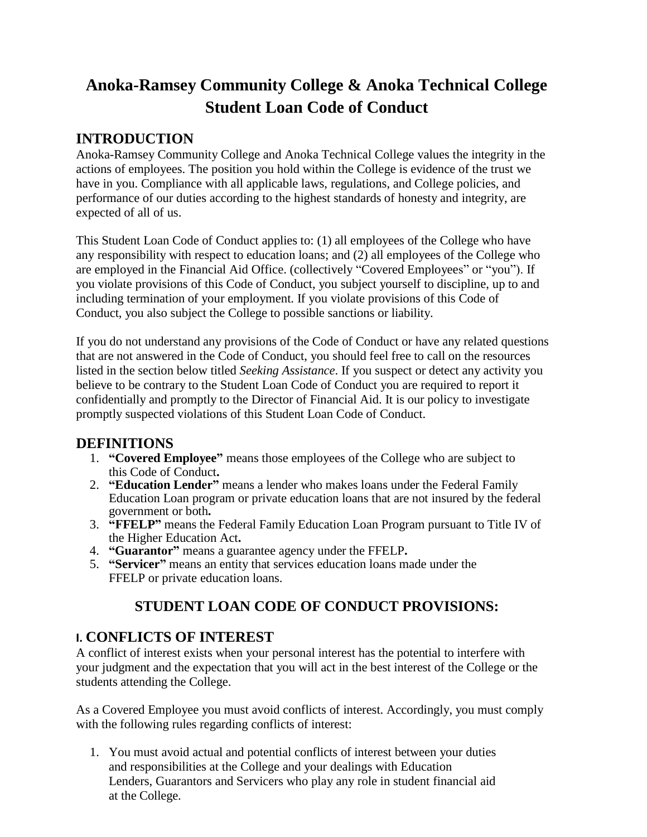# **Anoka-Ramsey Community College & Anoka Technical College Student Loan Code of Conduct**

## **INTRODUCTION**

Anoka-Ramsey Community College and Anoka Technical College values the integrity in the actions of employees. The position you hold within the College is evidence of the trust we have in you. Compliance with all applicable laws, regulations, and College policies, and performance of our duties according to the highest standards of honesty and integrity, are expected of all of us.

This Student Loan Code of Conduct applies to: (1) all employees of the College who have any responsibility with respect to education loans; and (2) all employees of the College who are employed in the Financial Aid Office. (collectively "Covered Employees" or "you"). If you violate provisions of this Code of Conduct, you subject yourself to discipline, up to and including termination of your employment. If you violate provisions of this Code of Conduct, you also subject the College to possible sanctions or liability.

If you do not understand any provisions of the Code of Conduct or have any related questions that are not answered in the Code of Conduct, you should feel free to call on the resources listed in the section below titled *Seeking Assistance*. If you suspect or detect any activity you believe to be contrary to the Student Loan Code of Conduct you are required to report it confidentially and promptly to the Director of Financial Aid. It is our policy to investigate promptly suspected violations of this Student Loan Code of Conduct.

## **DEFINITIONS**

- 1. **"Covered Employee"** means those employees of the College who are subject to this Code of Conduct**.**
- 2. **"Education Lender"** means a lender who makes loans under the Federal Family Education Loan program or private education loans that are not insured by the federal government or both**.**
- 3. **"FFELP"** means the Federal Family Education Loan Program pursuant to Title IV of the Higher Education Act**.**
- 4. **"Guarantor"** means a guarantee agency under the FFELP**.**
- 5. **"Servicer"** means an entity that services education loans made under the FFELP or private education loans.

## **STUDENT LOAN CODE OF CONDUCT PROVISIONS:**

## **I. CONFLICTS OF INTEREST**

A conflict of interest exists when your personal interest has the potential to interfere with your judgment and the expectation that you will act in the best interest of the College or the students attending the College.

As a Covered Employee you must avoid conflicts of interest. Accordingly, you must comply with the following rules regarding conflicts of interest:

1. You must avoid actual and potential conflicts of interest between your duties and responsibilities at the College and your dealings with Education Lenders, Guarantors and Servicers who play any role in student financial aid at the College.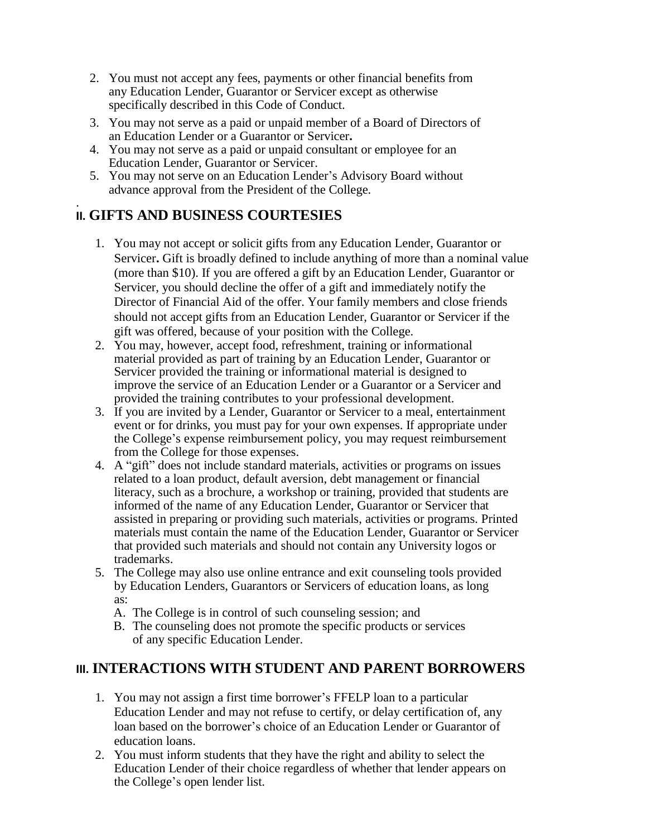- 2. You must not accept any fees, payments or other financial benefits from any Education Lender, Guarantor or Servicer except as otherwise specifically described in this Code of Conduct.
- 3. You may not serve as a paid or unpaid member of a Board of Directors of an Education Lender or a Guarantor or Servicer**.**
- 4. You may not serve as a paid or unpaid consultant or employee for an Education Lender, Guarantor or Servicer.
- 5. You may not serve on an Education Lender's Advisory Board without advance approval from the President of the College.

#### . **II. GIFTS AND BUSINESS COURTESIES**

- 1. You may not accept or solicit gifts from any Education Lender, Guarantor or Servicer**.** Gift is broadly defined to include anything of more than a nominal value (more than \$10). If you are offered a gift by an Education Lender, Guarantor or Servicer, you should decline the offer of a gift and immediately notify the Director of Financial Aid of the offer. Your family members and close friends should not accept gifts from an Education Lender, Guarantor or Servicer if the gift was offered, because of your position with the College.
- 2. You may, however, accept food, refreshment, training or informational material provided as part of training by an Education Lender, Guarantor or Servicer provided the training or informational material is designed to improve the service of an Education Lender or a Guarantor or a Servicer and provided the training contributes to your professional development.
- 3. If you are invited by a Lender, Guarantor or Servicer to a meal, entertainment event or for drinks, you must pay for your own expenses. If appropriate under the College's expense reimbursement policy, you may request reimbursement from the College for those expenses.
- 4. A "gift" does not include standard materials, activities or programs on issues related to a loan product, default aversion, debt management or financial literacy, such as a brochure, a workshop or training, provided that students are informed of the name of any Education Lender, Guarantor or Servicer that assisted in preparing or providing such materials, activities or programs. Printed materials must contain the name of the Education Lender, Guarantor or Servicer that provided such materials and should not contain any University logos or trademarks.
- 5. The College may also use online entrance and exit counseling tools provided by Education Lenders, Guarantors or Servicers of education loans, as long as:
	- A. The College is in control of such counseling session; and
	- B. The counseling does not promote the specific products or services of any specific Education Lender.

## **III. INTERACTIONS WITH STUDENT AND PARENT BORROWERS**

- 1. You may not assign a first time borrower's FFELP loan to a particular Education Lender and may not refuse to certify, or delay certification of, any loan based on the borrower's choice of an Education Lender or Guarantor of education loans.
- 2. You must inform students that they have the right and ability to select the Education Lender of their choice regardless of whether that lender appears on the College's open lender list.